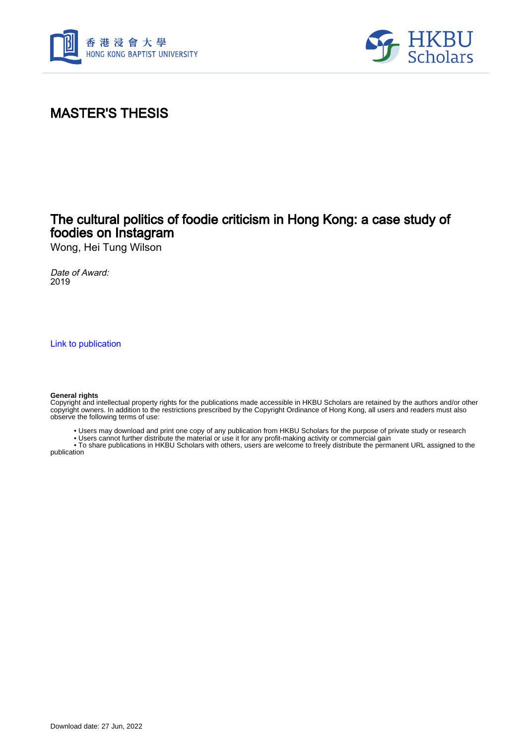



# MASTER'S THESIS

## The cultural politics of foodie criticism in Hong Kong: a case study of foodies on Instagram

Wong, Hei Tung Wilson

Date of Award: 2019

[Link to publication](https://scholars.hkbu.edu.hk/en/studentTheses/eb6f9da8-ec07-42d2-95f4-e6913d3bfcd8)

#### **General rights**

Copyright and intellectual property rights for the publications made accessible in HKBU Scholars are retained by the authors and/or other copyright owners. In addition to the restrictions prescribed by the Copyright Ordinance of Hong Kong, all users and readers must also observe the following terms of use:

- Users may download and print one copy of any publication from HKBU Scholars for the purpose of private study or research
- Users cannot further distribute the material or use it for any profit-making activity or commercial gain

 • To share publications in HKBU Scholars with others, users are welcome to freely distribute the permanent URL assigned to the publication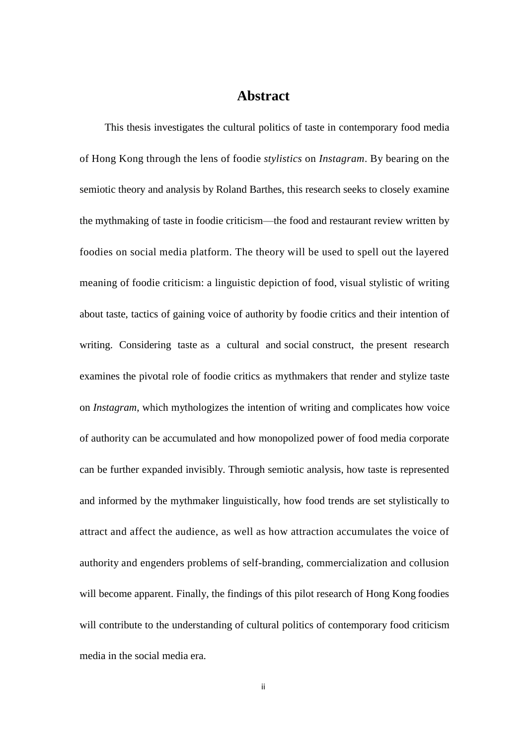### **Abstract**

This thesis investigates the cultural politics of taste in contemporary food media of Hong Kong through the lens of foodie *stylistics* on *Instagram*. By bearing on the semiotic theory and analysis by Roland Barthes, this research seeks to closely examine the mythmaking of taste in foodie criticism—the food and restaurant review written by foodies on social media platform. The theory will be used to spell out the layered meaning of foodie criticism: a linguistic depiction of food, visual stylistic of writing about taste, tactics of gaining voice of authority by foodie critics and their intention of writing. Considering taste as a cultural and social construct, the present research examines the pivotal role of foodie critics as mythmakers that render and stylize taste on *Instagram*, which mythologizes the intention of writing and complicates how voice of authority can be accumulated and how monopolized power of food media corporate can be further expanded invisibly. Through semiotic analysis, how taste is represented and informed by the mythmaker linguistically, how food trends are set stylistically to attract and affect the audience, as well as how attraction accumulates the voice of authority and engenders problems of self-branding, commercialization and collusion will become apparent. Finally, the findings of this pilot research of Hong Kong foodies will contribute to the understanding of cultural politics of contemporary food criticism media in the social media era.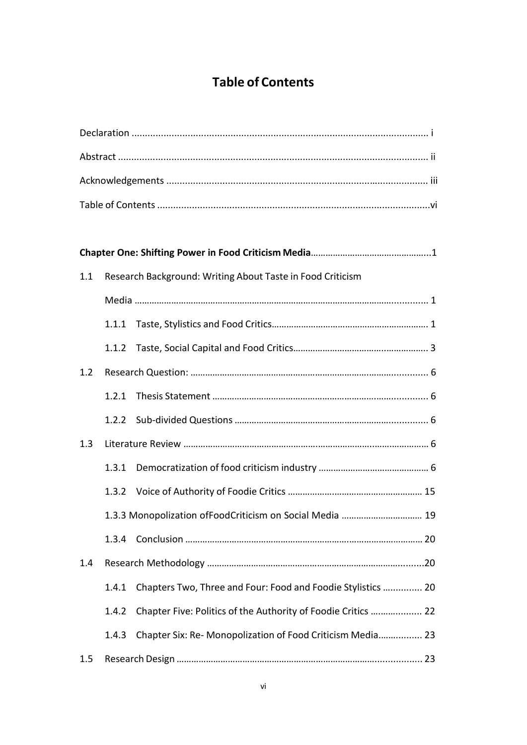# **Table of Contents**

| 1.1 |       | Research Background: Writing About Taste in Food Criticism    |  |
|-----|-------|---------------------------------------------------------------|--|
|     |       |                                                               |  |
|     |       |                                                               |  |
|     | 1.1.2 |                                                               |  |
| 1.2 |       |                                                               |  |
|     | 1.2.1 |                                                               |  |
|     | 1.2.2 |                                                               |  |
| 1.3 |       |                                                               |  |
|     | 1.3.1 |                                                               |  |
|     | 1.3.2 |                                                               |  |
|     |       | 1.3.3 Monopolization ofFoodCriticism on Social Media  19      |  |
|     |       |                                                               |  |
| 1.4 |       |                                                               |  |
|     | 1.4.1 | Chapters Two, Three and Four: Food and Foodie Stylistics  20  |  |
|     | 1.4.2 | Chapter Five: Politics of the Authority of Foodie Critics  22 |  |
|     | 1.4.3 | Chapter Six: Re- Monopolization of Food Criticism Media 23    |  |
| 1.5 |       |                                                               |  |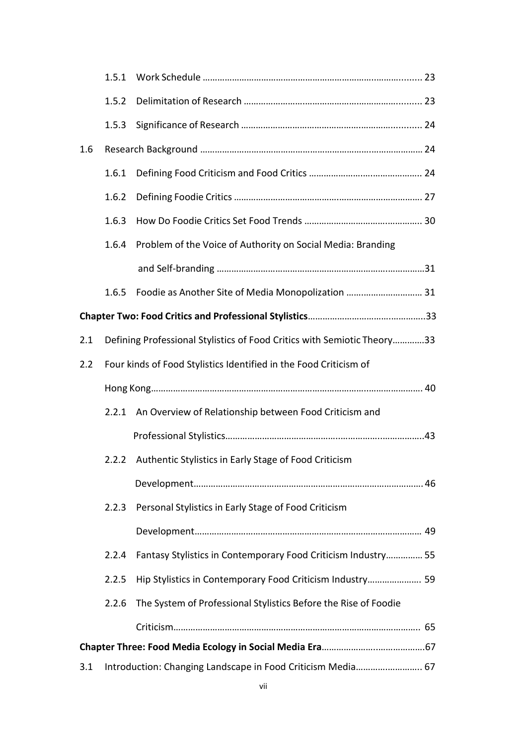|     | 1.5.1                                                                   |                                                                 |  |  |  |  |
|-----|-------------------------------------------------------------------------|-----------------------------------------------------------------|--|--|--|--|
|     | 1.5.2                                                                   |                                                                 |  |  |  |  |
|     | 1.5.3                                                                   |                                                                 |  |  |  |  |
| 1.6 |                                                                         |                                                                 |  |  |  |  |
|     | 1.6.1                                                                   |                                                                 |  |  |  |  |
|     | 1.6.2                                                                   |                                                                 |  |  |  |  |
|     | 1.6.3                                                                   |                                                                 |  |  |  |  |
|     | 1.6.4                                                                   | Problem of the Voice of Authority on Social Media: Branding     |  |  |  |  |
|     |                                                                         |                                                                 |  |  |  |  |
|     | 1.6.5                                                                   | Foodie as Another Site of Media Monopolization  31              |  |  |  |  |
|     |                                                                         |                                                                 |  |  |  |  |
| 2.1 | Defining Professional Stylistics of Food Critics with Semiotic Theory33 |                                                                 |  |  |  |  |
| 2.2 | Four kinds of Food Stylistics Identified in the Food Criticism of       |                                                                 |  |  |  |  |
|     |                                                                         |                                                                 |  |  |  |  |
|     | 2.2.1                                                                   | An Overview of Relationship between Food Criticism and          |  |  |  |  |
|     |                                                                         |                                                                 |  |  |  |  |
|     | 2.2.2                                                                   | Authentic Stylistics in Early Stage of Food Criticism           |  |  |  |  |
|     |                                                                         |                                                                 |  |  |  |  |
|     | 2.2.3                                                                   | Personal Stylistics in Early Stage of Food Criticism            |  |  |  |  |
|     |                                                                         |                                                                 |  |  |  |  |
|     | 2.2.4                                                                   | Fantasy Stylistics in Contemporary Food Criticism Industry 55   |  |  |  |  |
|     | 2.2.5                                                                   | Hip Stylistics in Contemporary Food Criticism Industry 59       |  |  |  |  |
|     | 2.2.6                                                                   | The System of Professional Stylistics Before the Rise of Foodie |  |  |  |  |
|     |                                                                         |                                                                 |  |  |  |  |
|     |                                                                         |                                                                 |  |  |  |  |
| 3.1 | Introduction: Changing Landscape in Food Criticism Media 67             |                                                                 |  |  |  |  |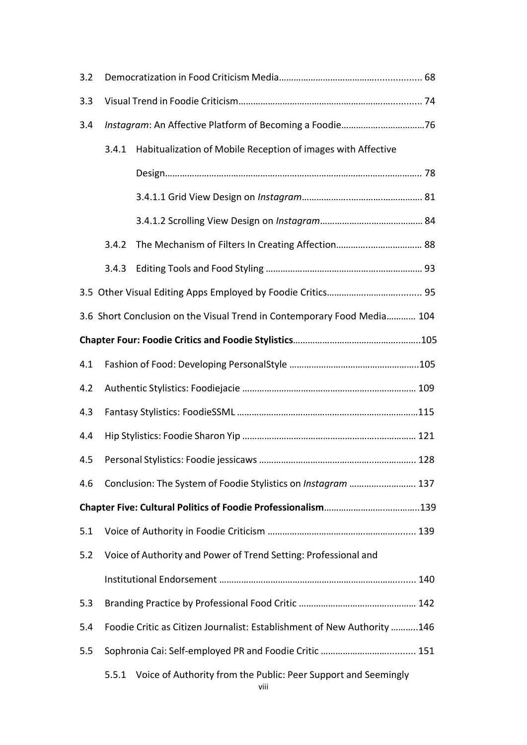| 3.2 |                                                                         |                                                                         |  |  |  |
|-----|-------------------------------------------------------------------------|-------------------------------------------------------------------------|--|--|--|
| 3.3 |                                                                         |                                                                         |  |  |  |
| 3.4 |                                                                         |                                                                         |  |  |  |
|     | 3.4.1                                                                   | Habitualization of Mobile Reception of images with Affective            |  |  |  |
|     |                                                                         |                                                                         |  |  |  |
|     |                                                                         |                                                                         |  |  |  |
|     |                                                                         |                                                                         |  |  |  |
|     | 3.4.2                                                                   |                                                                         |  |  |  |
|     | 3.4.3                                                                   |                                                                         |  |  |  |
|     |                                                                         |                                                                         |  |  |  |
|     |                                                                         | 3.6 Short Conclusion on the Visual Trend in Contemporary Food Media 104 |  |  |  |
|     |                                                                         |                                                                         |  |  |  |
| 4.1 |                                                                         |                                                                         |  |  |  |
| 4.2 |                                                                         |                                                                         |  |  |  |
| 4.3 |                                                                         |                                                                         |  |  |  |
| 4.4 |                                                                         |                                                                         |  |  |  |
| 4.5 |                                                                         |                                                                         |  |  |  |
| 4.6 |                                                                         | Conclusion: The System of Foodie Stylistics on Instagram  137           |  |  |  |
|     |                                                                         |                                                                         |  |  |  |
| 5.1 |                                                                         |                                                                         |  |  |  |
| 5.2 |                                                                         | Voice of Authority and Power of Trend Setting: Professional and         |  |  |  |
|     |                                                                         |                                                                         |  |  |  |
| 5.3 |                                                                         |                                                                         |  |  |  |
| 5.4 | Foodie Critic as Citizen Journalist: Establishment of New Authority 146 |                                                                         |  |  |  |
| 5.5 |                                                                         |                                                                         |  |  |  |
|     | 5.5.1                                                                   | Voice of Authority from the Public: Peer Support and Seemingly          |  |  |  |